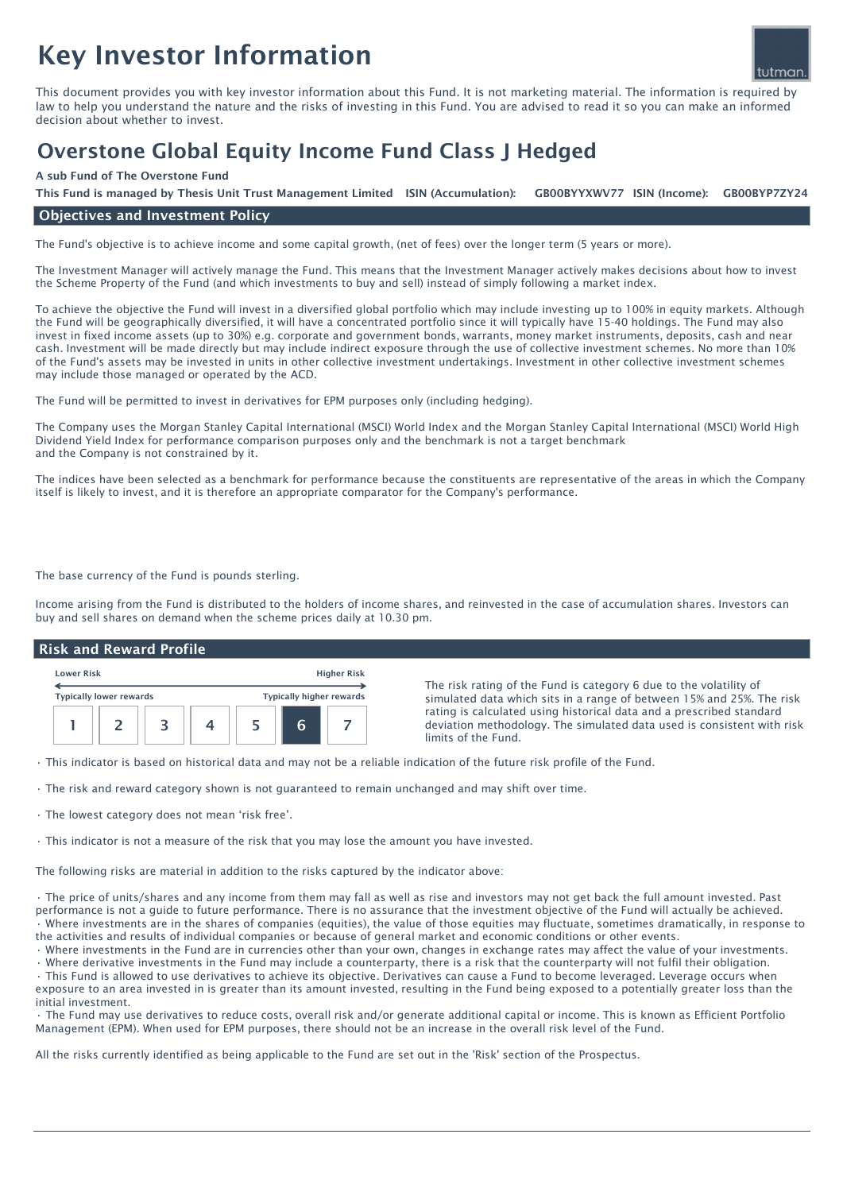# Key Investor Information



This document provides you with key investor information about this Fund. It is not marketing material. The information is required by law to help you understand the nature and the risks of investing in this Fund. You are advised to read it so you can make an informed decision about whether to invest.

## Overstone Global Equity Income Fund Class J Hedged

#### A sub Fund of The Overstone Fund

This Fund is managed by Thesis Unit Trust Management Limited ISIN (Accumulation): GB00BYYXWV77 ISIN (Income): GB00BYP7ZY24

#### Objectives and Investment Policy

The Fund's objective is to achieve income and some capital growth, (net of fees) over the longer term (5 years or more).

The Investment Manager will actively manage the Fund. This means that the Investment Manager actively makes decisions about how to invest the Scheme Property of the Fund (and which investments to buy and sell) instead of simply following a market index.

To achieve the objective the Fund will invest in a diversified global portfolio which may include investing up to 100% in equity markets. Although the Fund will be geographically diversified, it will have a concentrated portfolio since it will typically have 15-40 holdings. The Fund may also invest in fixed income assets (up to 30%) e.g. corporate and government bonds, warrants, money market instruments, deposits, cash and near cash. Investment will be made directly but may include indirect exposure through the use of collective investment schemes. No more than 10% of the Fund's assets may be invested in units in other collective investment undertakings. Investment in other collective investment schemes may include those managed or operated by the ACD.

The Fund will be permitted to invest in derivatives for EPM purposes only (including hedging).

The Company uses the Morgan Stanley Capital International (MSCI) World Index and the Morgan Stanley Capital International (MSCI) World High Dividend Yield Index for performance comparison purposes only and the benchmark is not a target benchmark and the Company is not constrained by it.

The indices have been selected as a benchmark for performance because the constituents are representative of the areas in which the Company itself is likely to invest, and it is therefore an appropriate comparator for the Company's performance.

The base currency of the Fund is pounds sterling.

Income arising from the Fund is distributed to the holders of income shares, and reinvested in the case of accumulation shares. Investors can buy and sell shares on demand when the scheme prices daily at 10.30 pm.

#### Risk and Reward Profile

| <b>Lower Risk</b>              |  |  | <b>Higher Risk</b> |                                 |   |  |
|--------------------------------|--|--|--------------------|---------------------------------|---|--|
| <b>Typically lower rewards</b> |  |  |                    | <b>Typically higher rewards</b> |   |  |
|                                |  |  |                    |                                 | F |  |

The risk rating of the Fund is category 6 due to the volatility of simulated data which sits in a range of between 15% and 25%. The risk rating is calculated using historical data and a prescribed standard deviation methodology. The simulated data used is consistent with risk limits of the Fund.

• This indicator is based on historical data and may not be a reliable indication of the future risk profile of the Fund.

• The risk and reward category shown is not guaranteed to remain unchanged and may shift over time.

• The lowest category does not mean 'risk free'.

• This indicator is not a measure of the risk that you may lose the amount you have invested.

The following risks are material in addition to the risks captured by the indicator above:

• The price of units/shares and any income from them may fall as well as rise and investors may not get back the full amount invested. Past performance is not a guide to future performance. There is no assurance that the investment objective of the Fund will actually be achieved. • Where investments are in the shares of companies (equities), the value of those equities may fluctuate, sometimes dramatically, in response to the activities and results of individual companies or because of general market and economic conditions or other events.

• Where investments in the Fund are in currencies other than your own, changes in exchange rates may affect the value of your investments.

• Where derivative investments in the Fund may include a counterparty, there is a risk that the counterparty will not fulfil their obligation. • This Fund is allowed to use derivatives to achieve its objective. Derivatives can cause a Fund to become leveraged. Leverage occurs when exposure to an area invested in is greater than its amount invested, resulting in the Fund being exposed to a potentially greater loss than the initial investment.

• The Fund may use derivatives to reduce costs, overall risk and/or generate additional capital or income. This is known as Efficient Portfolio Management (EPM). When used for EPM purposes, there should not be an increase in the overall risk level of the Fund.

All the risks currently identified as being applicable to the Fund are set out in the 'Risk' section of the Prospectus.